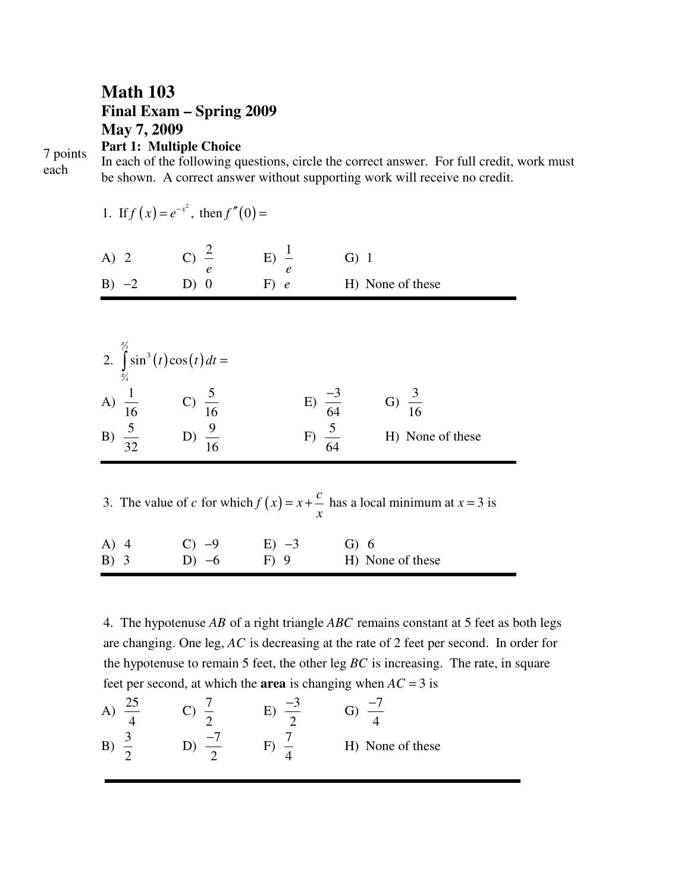## **Math 103 Final Exam – Spring 2009 May 7, 2009 Part 1: Multiple Choice**

7 points each

In each of the following questions, circle the correct answer. For full credit, work must be shown. A correct answer without supporting work will receive no credit.

| 1. If $f(x) = e^{-x^2}$ , then $f''(0) =$                                                                     |                                        |                           |                                                             |  |  |  |  |  |
|---------------------------------------------------------------------------------------------------------------|----------------------------------------|---------------------------|-------------------------------------------------------------|--|--|--|--|--|
|                                                                                                               | A) 2 C) $\frac{2}{e}$ E) $\frac{1}{e}$ |                           | $G)$ 1                                                      |  |  |  |  |  |
| $B) -2$                                                                                                       | D) 0                                   | $F)$ e                    | H) None of these                                            |  |  |  |  |  |
| 2. $\int_{\pi/2}^{\pi/2} \sin^3(t) \cos(t) dt =$                                                              |                                        |                           |                                                             |  |  |  |  |  |
| A) $\frac{1}{16}$ C) $\frac{5}{16}$<br>B) $\frac{5}{32}$ D) $\frac{9}{16}$                                    |                                        |                           | G) $\frac{3}{16}$                                           |  |  |  |  |  |
|                                                                                                               |                                        |                           | E) $\frac{-3}{64}$<br>F) $\frac{5}{64}$<br>H) None of these |  |  |  |  |  |
| 3. The value of c for which $f(x) = x + \frac{c}{x}$ has a local minimum at $x = 3$ is<br>$\boldsymbol{\chi}$ |                                        |                           |                                                             |  |  |  |  |  |
| $B)$ 3                                                                                                        |                                        | A) 4 C) $-9$ E) $-3$ G) 6 | $D) -6$ F 9 H None of these                                 |  |  |  |  |  |

4. The hypotenuse AB of a right triangle ABC remains constant at 5 feet as both legs are changing. One leg, AC is decreasing at the rate of 2 feet per second. In order for the hypotenuse to remain 5 feet, the other leg  $BC$  is increasing. The rate, in square feet per second, at which the **area** is changing when  $AC = 3$  is

| O |  |                  |
|---|--|------------------|
| B |  | H) None of these |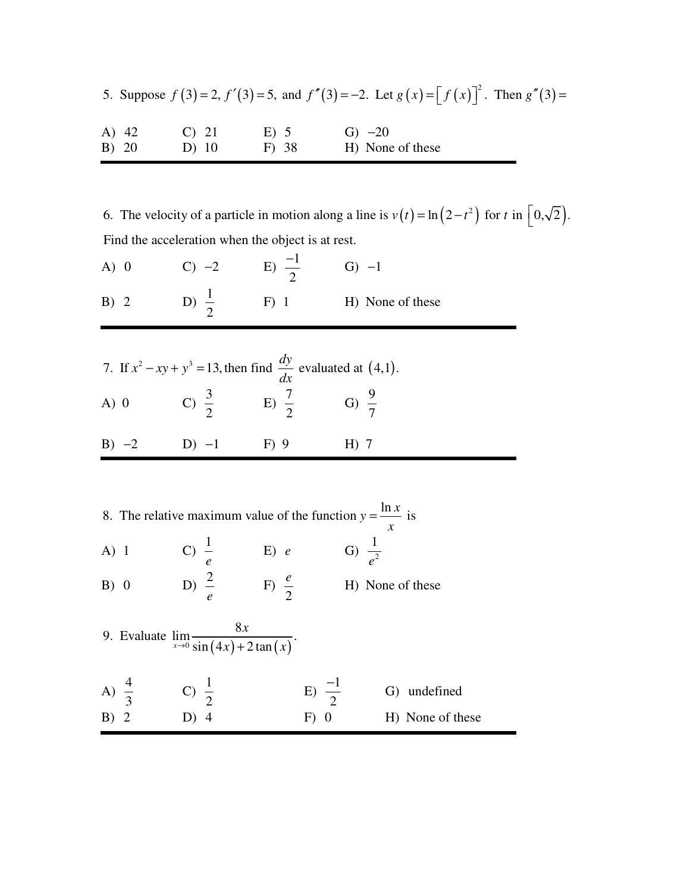|       |          |         | 5. Suppose $f(3) = 2$ , $f'(3) = 5$ , and $f''(3) = -2$ . Let $g(x) = [f(x)]^2$ . Then $g''(3) =$ |  |
|-------|----------|---------|---------------------------------------------------------------------------------------------------|--|
| A) 42 | $C$ ) 21 | E) 5    | $G) -20$                                                                                          |  |
| B) 20 | $D)$ 10  | $F)$ 38 | H) None of these                                                                                  |  |

6. The velocity of a particle in motion along a line is  $v(t) = \ln(2 - t^2)$  for t in  $\left[0, \sqrt{2}\right)$ . Find the acceleration when the object is at rest.

| $A)$ 0 |         | $C) -2$                                                                     | E) $\frac{-1}{2}$ | $G) -1$          |
|--------|---------|-----------------------------------------------------------------------------|-------------------|------------------|
| B) 2   |         | D) $\frac{1}{2}$                                                            | $F)$ 1            | H) None of these |
|        |         |                                                                             |                   |                  |
|        |         | 7. If $x^2 - xy + y^3 = 13$ , then find $\frac{dy}{dx}$ evaluated at (4,1). |                   |                  |
| $A)$ 0 |         | C) $\frac{3}{2}$                                                            | $E) \frac{7}{2}$  | G) $\frac{9}{7}$ |
|        | $B) -2$ | $D) -1$                                                                     | $F)$ 9            | $H)$ 7           |

|        |                  |                  | 8. The relative maximum value of the function $y = \frac{\ln x}{x}$ is |                   | $\mathcal{X}$      |
|--------|------------------|------------------|------------------------------------------------------------------------|-------------------|--------------------|
| $A)$ 1 |                  | C) $\frac{1}{e}$ | E) e                                                                   |                   | G) $\frac{1}{e^2}$ |
| B) 0   |                  | D) $\frac{2}{ }$ | F) $\frac{e}{2}$                                                       |                   | H) None of these   |
|        |                  |                  | 8x<br>9. Evaluate $\lim_{x\to 0} \frac{\cdots}{\sin(4x) + 2\tan(x)}$ . |                   |                    |
|        | A) $\frac{4}{3}$ | C) $\frac{1}{2}$ |                                                                        | E) $\frac{-1}{2}$ | undefined<br>G)    |
| B) 2   |                  | D) 4             |                                                                        | F)                | H) None of these   |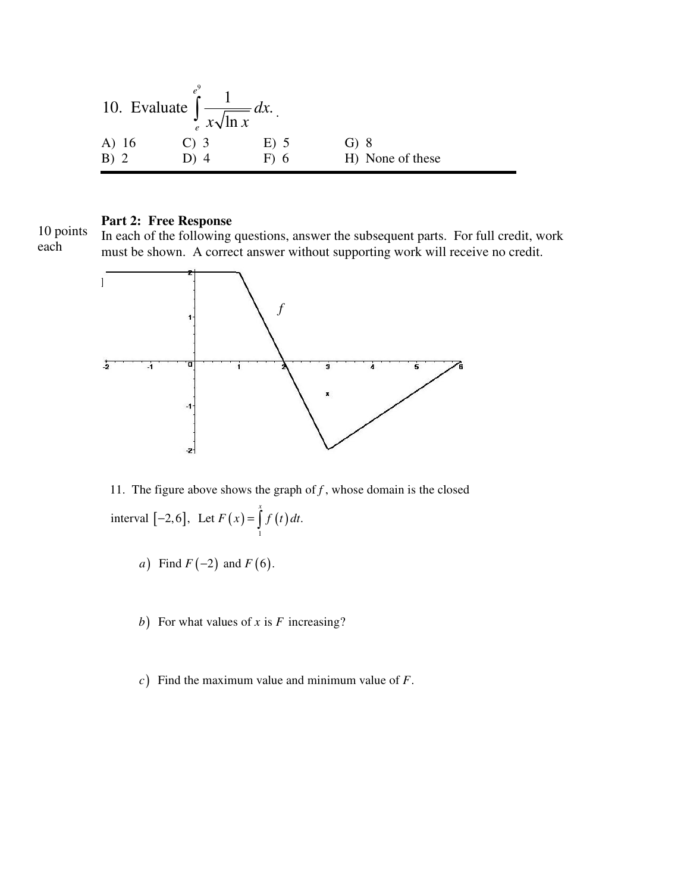10. Evaluate 
$$
\int_{e}^{e^{9}} \frac{1}{x\sqrt{\ln x}} dx
$$
.  
\nA) 16  
\nB) 2  
\nC) 3  
\nD) 4  
\nD) 5  
\nE) 5  
\nE) 5  
\nG) 8  
\nH) None of these

## **Part 2: Free Response**

10 points each

In each of the following questions, answer the subsequent parts. For full credit, work must be shown. A correct answer without supporting work will receive no credit.



 $[-2, 6]$ , Let  $F(x) = \int f(t)$ 1 11. The figure above shows the graph of  $f$ , whose domain is the closed interval  $[-2,6]$ , Let  $F(x) = |f(t)|dt$ .  $[-2, 6]$ , Let  $F(x) = \int_{a}^{x} f(t) dt$ 

- *a*) Find  $F(-2)$  and  $F(6)$ .
- b) For what values of x is F increasing?
- $c$ ) Find the maximum value and minimum value of F.